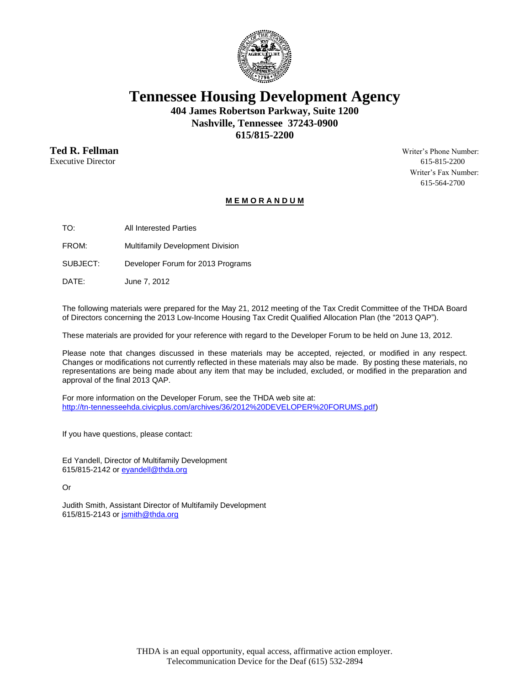

**Tennessee Housing Development Agency**

**404 James Robertson Parkway, Suite 1200 Nashville, Tennessee 37243-0900 615/815-2200**

**Ted R. Fellman** Writer's Phone Number:

Executive Director 615-815-2200 Writer's Fax Number: 615-564-2700

#### **M E M O R A N D U M**

TO: All Interested Parties

FROM: Multifamily Development Division

SUBJECT: Developer Forum for 2013 Programs

DATE: June 7, 2012

The following materials were prepared for the May 21, 2012 meeting of the Tax Credit Committee of the THDA Board of Directors concerning the 2013 Low-Income Housing Tax Credit Qualified Allocation Plan (the "2013 QAP").

These materials are provided for your reference with regard to the Developer Forum to be held on June 13, 2012.

Please note that changes discussed in these materials may be accepted, rejected, or modified in any respect. Changes or modifications not currently reflected in these materials may also be made. By posting these materials, no representations are being made about any item that may be included, excluded, or modified in the preparation and approval of the final 2013 QAP.

For more information on the Developer Forum, see the THDA web site at: http://tn-tennesseehda.civicplus.com/archives/36/2012%20DEVELOPER%20FORUMS.pdf)

If you have questions, please contact:

Ed Yandell, Director of Multifamily Development 615/815-2142 or eyandell@thda.org

Or

Judith Smith, Assistant Director of Multifamily Development 615/815-2143 or jsmith@thda.org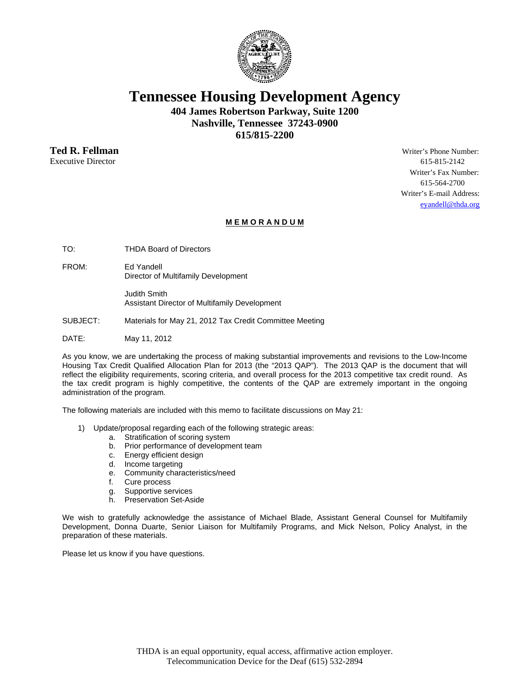

# **Tennessee Housing Development Agency**

**404 James Robertson Parkway, Suite 1200 Nashville, Tennessee 37243-0900 615/815-2200** 

Executive Director 615-815-2142

**Ted R. Fellman** Writer's Phone Number: Writer's Fax Number: 615-564-2700 Writer's E-mail Address: eyandell@thda.org

#### **M E M O R A N D U M**

TO: THDA Board of Directors

FROM: Ed Yandell Director of Multifamily Development

> Judith Smith Assistant Director of Multifamily Development

SUBJECT: Materials for May 21, 2012 Tax Credit Committee Meeting

DATE: May 11, 2012

As you know, we are undertaking the process of making substantial improvements and revisions to the Low-Income Housing Tax Credit Qualified Allocation Plan for 2013 (the "2013 QAP"). The 2013 QAP is the document that will reflect the eligibility requirements, scoring criteria, and overall process for the 2013 competitive tax credit round. As the tax credit program is highly competitive, the contents of the QAP are extremely important in the ongoing administration of the program.

The following materials are included with this memo to facilitate discussions on May 21:

- 1) Update/proposal regarding each of the following strategic areas:
	- a. Stratification of scoring system
		- b. Prior performance of development team
		- c. Energy efficient design
		- d. Income targeting
		- e. Community characteristics/need
		- f. Cure process
		- g. Supportive services
		- h. Preservation Set-Aside

We wish to gratefully acknowledge the assistance of Michael Blade, Assistant General Counsel for Multifamily Development, Donna Duarte, Senior Liaison for Multifamily Programs, and Mick Nelson, Policy Analyst, in the preparation of these materials.

Please let us know if you have questions.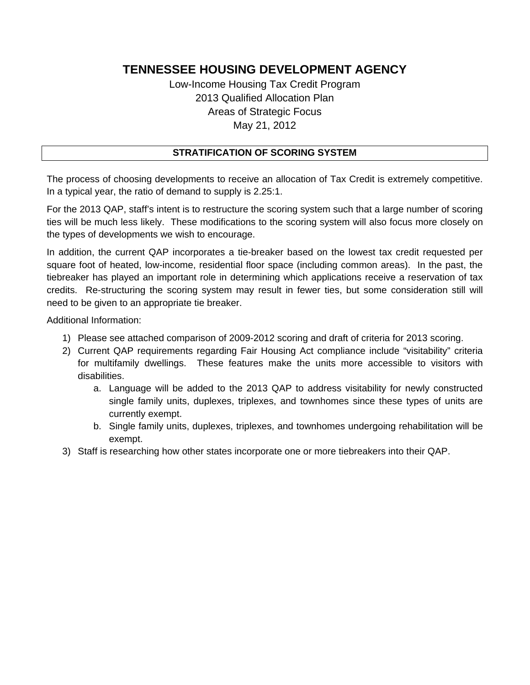Low-Income Housing Tax Credit Program 2013 Qualified Allocation Plan Areas of Strategic Focus May 21, 2012

### **STRATIFICATION OF SCORING SYSTEM**

The process of choosing developments to receive an allocation of Tax Credit is extremely competitive. In a typical year, the ratio of demand to supply is 2.25:1.

For the 2013 QAP, staff's intent is to restructure the scoring system such that a large number of scoring ties will be much less likely. These modifications to the scoring system will also focus more closely on the types of developments we wish to encourage.

In addition, the current QAP incorporates a tie-breaker based on the lowest tax credit requested per square foot of heated, low-income, residential floor space (including common areas). In the past, the tiebreaker has played an important role in determining which applications receive a reservation of tax credits. Re-structuring the scoring system may result in fewer ties, but some consideration still will need to be given to an appropriate tie breaker.

Additional Information:

- 1) Please see attached comparison of 2009-2012 scoring and draft of criteria for 2013 scoring.
- 2) Current QAP requirements regarding Fair Housing Act compliance include "visitability" criteria for multifamily dwellings. These features make the units more accessible to visitors with disabilities.
	- a. Language will be added to the 2013 QAP to address visitability for newly constructed single family units, duplexes, triplexes, and townhomes since these types of units are currently exempt.
	- b. Single family units, duplexes, triplexes, and townhomes undergoing rehabilitation will be exempt.
- 3) Staff is researching how other states incorporate one or more tiebreakers into their QAP.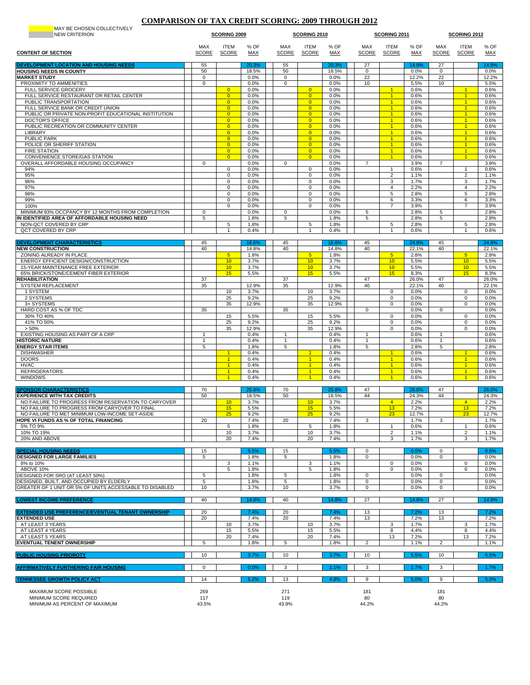#### **COMPARISON OF TAX CREDIT SCORING: 2009 THROUGH 2012**

| MAY BE CHOSEN COLLECTIVELY<br><b>NEW CRITERION</b>                                                  | <b>SCORING 2009</b>        |                                  | SCORING 2010       |                     |                                  | SCORING 2011       |                            |                                              | <b>SCORING 2012</b> |                            |                                              |                    |
|-----------------------------------------------------------------------------------------------------|----------------------------|----------------------------------|--------------------|---------------------|----------------------------------|--------------------|----------------------------|----------------------------------------------|---------------------|----------------------------|----------------------------------------------|--------------------|
| <b>CONTENT OF SECTION</b>                                                                           | <b>MAX</b><br><b>SCORE</b> | <b>ITEM</b><br><b>SCORE</b>      | % OF<br><b>MAX</b> | MAX<br><b>SCORE</b> | <b>ITEM</b><br><b>SCORE</b>      | % OF<br><b>MAX</b> | <b>MAX</b><br><b>SCORE</b> | <b>ITEM</b><br><b>SCORE</b>                  | % OF<br><b>MAX</b>  | <b>MAX</b><br><b>SCORE</b> | ITEM<br><b>SCORE</b>                         | % OF<br><b>MAX</b> |
| DEVELOPMENT LOCATION AND HOUSING NEEDS<br><b>HOUSING NEEDS IN COUNTY</b>                            | 55                         |                                  | 20.3%              | 55                  |                                  | 20.3%              | 27                         |                                              | 14.9%               | 27                         |                                              | 14.9%              |
| <b>MARKET STUDY</b>                                                                                 | 50<br>0                    |                                  | 18.5%<br>0.0%      | 50<br>0             |                                  | 18.5%<br>0.0%      | 0<br>22                    |                                              | 0.0%<br>12.2%       | 0<br>22                    |                                              | 0.0%<br>12.2%      |
| PROXIMITY TO AMMENITIES                                                                             | $\mathbf 0$                |                                  | 0.0%               | 0                   |                                  | 0.0%               | 10                         |                                              | 5.5%                | 10                         |                                              | 5.5%               |
| <b>FULL SERVICE GROCERY</b><br>FULL SERVICE RESTAURANT OR RETAIL CENTER                             |                            | $\overline{0}$<br>$\overline{0}$ | 0.0%<br>0.0%       |                     | $\overline{0}$<br>$\overline{0}$ | 0.0%<br>0.0%       |                            | $\overline{1}$<br>$\overline{1}$             | 0.6%<br>0.6%        |                            | $\blacktriangleleft$                         | 0.6%<br>0.6%       |
| PUBLIC TRANSPORTATION                                                                               |                            | $\overline{0}$                   | 0.0%               |                     | $\overline{0}$                   | 0.0%               |                            | 1                                            | 0.6%                |                            |                                              | 0.6%               |
| FULL SERVICE BANK OR CREDIT UNION<br>PUBLIC OR PRIVATE NON-PROFIT EDUCATIONAL INSTITUTION           |                            | $\overline{0}$<br>$\overline{0}$ | 0.0%<br>0.0%       |                     | $\Omega$<br>$\overline{0}$       | 0.0%<br>0.0%       |                            | $\overline{1}$<br>$\mathbf{1}$               | 0.6%<br>0.6%        |                            | $\overline{1}$<br>$\mathbf{1}$               | 0.6%<br>0.6%       |
| <b>DOCTOR'S OFFICE</b>                                                                              |                            | $\overline{0}$                   | 0.0%               |                     | $\overline{0}$                   | 0.0%               |                            | $\blacktriangleleft$                         | 0.6%                |                            |                                              | 0.6%               |
| PUBLIC RECREATION OR COMMUNITY CENTER<br><b>LIBRARY</b>                                             |                            | $\overline{0}$<br>$\overline{0}$ | 0.0%<br>0.0%       |                     | $\overline{0}$<br>$\overline{0}$ | 0.0%<br>0.0%       |                            | $\overline{1}$<br>$\blacktriangleleft$       | 0.6%<br>0.6%        |                            | $\blacksquare$<br>$\blacktriangleleft$       | 0.6%<br>0.6%       |
| <b>PUBLIC PARK</b>                                                                                  |                            | $\overline{0}$                   | 0.0%               |                     | $\overline{0}$                   | 0.0%               |                            | $\blacktriangleleft$                         | 0.6%                |                            | $\blacktriangleleft$                         | 0.6%               |
| POLICE OR SHERIFF STATION                                                                           |                            | $\overline{0}$                   | 0.0%               |                     | $\overline{0}$                   | 0.0%               |                            | $\overline{1}$                               | 0.6%                |                            | $\overline{1}$                               | 0.6%               |
| <b>FIRE STATION</b><br>CONVENIENCE STORE/GAS STATION                                                |                            | $\overline{0}$<br>$\overline{0}$ | 0.0%<br>0.0%       |                     | $\overline{0}$<br>$\overline{0}$ | 0.0%<br>0.0%       |                            | $\blacktriangleleft$<br>$\blacktriangleleft$ | 0.6%<br>0.6%        |                            | $\blacktriangleleft$<br>$\blacktriangleleft$ | 0.6%<br>0.6%       |
| OVERALL AFFORDABLE HOUSING OCCUPANCY                                                                | $\mathbf 0$                |                                  | 0.0%               | 0                   |                                  | 0.0%               | $\overline{7}$             |                                              | 3.9%                | $\overline{7}$             |                                              | 3.9%               |
| 94%                                                                                                 |                            | 0<br>0                           | 0.0%               |                     | 0<br>0                           | 0.0%<br>0.0%       |                            | 1<br>$\overline{2}$                          | 0.6%                |                            | $\overline{2}$                               | 0.6%               |
| 95%<br>96%                                                                                          |                            | 0                                | 0.0%<br>0.0%       |                     | 0                                | 0.0%               |                            | 3                                            | 1.1%<br>1.7%        |                            | 3                                            | 1.1%<br>1.7%       |
| 97%                                                                                                 |                            | 0                                | 0.0%               |                     | 0                                | 0.0%               |                            | $\overline{4}$                               | 2.2%                |                            | $\overline{4}$                               | 2.2%               |
| 98%<br>99%                                                                                          |                            | $\mathbf 0$<br>$\Omega$          | 0.0%<br>0.0%       |                     | $\mathbf 0$<br>0                 | 0.0%<br>0.0%       |                            | 5<br>6                                       | 2.8%<br>3.3%        |                            | 5<br>6                                       | 2.8%<br>3.3%       |
| 100%                                                                                                |                            | 0                                | 0.0%               |                     | 0                                | 0.0%               |                            | $\overline{7}$                               | 3.9%                |                            | $\overline{7}$                               | 3.9%               |
| MINIMUM 93% OCCPANCY BY 12 MONTHS FROM COMPLETION                                                   | $\mathsf 0$                |                                  | 0.0%               | 0                   |                                  | 0.0%               | 5                          |                                              | 2.8%                | 5                          |                                              | 2.8%               |
| N IDENTIFIED AREA OF AFFORDABLE HOUSING NEED<br>NON-QCT COVERED BY CRP                              | 5                          | 5                                | 1.8%<br>1.8%       | 5                   | 5                                | 1.8%<br>1.8%       | 5                          | 5                                            | 2.8%<br>2.8%        | 5                          | 5                                            | 2.8%<br>2.8%       |
| QCT COVERED BY CRP                                                                                  |                            | $\overline{1}$                   | 0.4%               |                     | $\mathbf{1}$                     | 0.4%               |                            | $\overline{1}$                               | 0.6%                |                            | $\mathbf{1}$                                 | 0.6%               |
| <b>DEVELOPMENT CHARACTERISTICS</b>                                                                  | 45                         |                                  | 16.6%              | 45                  |                                  | 16.6%              | 45                         |                                              | 24.9%               | 45                         |                                              | 24.9%              |
| <b>NEW CONSTRUCTION</b>                                                                             | 40                         |                                  | 14.8%              | 40                  |                                  | 14.8%              | 40                         |                                              | 22.1%               | 40                         |                                              | 22.1%              |
| ZONING ALREADY IN PLACE                                                                             |                            | 5 <sub>5</sub>                   | 1.8%               |                     | 5                                | 1.8%               |                            | 5 <sub>5</sub>                               | 2.8%                |                            | 5 <sup>5</sup>                               | 2.8%               |
| ENERGY EFFICIENT DESIGN/CONSTRUCTION<br>15-YEAR MAINTENANCE FREE EXTERIOR                           |                            | 10<br>10                         | 3.7%<br>3.7%       |                     | 10<br>10                         | 3.7%<br>3.7%       |                            | 10<br>10                                     | 5.5%<br>5.5%        |                            | 10<br>10                                     | 5.5%<br>5.5%       |
| 65% BRICK/STONE/CEMENT FIBER EXTERIOR                                                               |                            | 15                               | 5.5%               |                     | 15                               | 5.5%               |                            | 15                                           | 8.3%                |                            | 15                                           | 8.3%               |
| REHABILITATION                                                                                      | 37                         |                                  |                    | 37                  |                                  |                    | 47                         |                                              | 26.0%               | 47                         |                                              | 26.0%              |
| SYSTEM REPLACEMENT<br>1 SYSTEM                                                                      | 35                         | 10                               | 12.9%<br>3.7%      | 35                  | 10                               | 12.9%<br>3.7%      | 40                         | 0                                            | 22.1%<br>0.0%       | 40                         | 0                                            | 22.1%<br>0.0%      |
| 2 SYSTEMS                                                                                           |                            | 25                               | 9.2%               |                     | 25                               | 9.2%               |                            | $\pmb{0}$                                    | 0.0%                |                            | $\mathsf 0$                                  | 0.0%               |
| 3+ SYSTEMS<br>HARD COST AS % OF TDC                                                                 | 35                         | 35                               | 12.9%              | 35                  | 35                               | 12.9%              | $^{\circ}$                 | 0                                            | 0.0%<br>0.0%        | $\mathbf 0$                | $\mathbf 0$                                  | 0.0%<br>0.0%       |
| 30% TO 40%                                                                                          |                            | 15                               | 5.5%               |                     | 15                               | 5.5%               |                            | 0                                            | 0.0%                |                            | 0                                            | 0.0%               |
| 41% TO 50%                                                                                          |                            | 25                               | 9.2%               |                     | 25                               | 9.2%               |                            | 0                                            | 0.0%                |                            | $\mathbf 0$                                  | 0.0%               |
| > 50%<br>EXISTING HOUSING AS PART OF A CRP                                                          | $\overline{1}$             | 35                               | 12.9%<br>0.4%      | $\overline{1}$      | 35                               | 12.9%<br>0.4%      | $\mathbf{1}$               | $\mathbf 0$                                  | 0.0%<br>0.6%        | $\mathbf{1}$               | $\mathbf 0$                                  | 0.0%<br>0.6%       |
| <b>HISTORIC NATURE</b>                                                                              | 1                          |                                  | 0.4%               | $\mathbf{1}$        |                                  | 0.4%               | 1                          |                                              | 0.6%                | 1                          |                                              | 0.6%               |
| <b>ENERGY STAR ITEMS</b>                                                                            | 5                          | $\overline{1}$                   | 1.8%<br>0.4%       | 5                   | $\blacktriangleleft$             | 1.8%<br>0.4%       | 5                          | $\blacktriangleleft$                         | 2.8%                | 5                          | $\blacktriangleleft$                         | 2.8%               |
| <b>DISHWASHER</b><br><b>DOORS</b>                                                                   |                            | $\overline{1}$                   | 0.4%               |                     | $\mathbf{1}$                     | 0.4%               |                            | $\mathbf{1}$                                 | 0.6%<br>0.6%        |                            | $\blacktriangleleft$                         | 0.6%<br>0.6%       |
| <b>HVAC</b>                                                                                         |                            | $\overline{1}$                   | 0.4%               |                     | $\overline{1}$                   | 0.4%               |                            | $\overline{1}$                               | 0.6%                |                            | $\overline{1}$                               | 0.6%               |
| <b>REFRIGERATORS</b><br><b>WINDOWS</b>                                                              |                            | 1                                | 0.4%<br>0.4%       |                     | $\mathbf{1}$<br>1                | 0.4%<br>0.4%       |                            | $\mathbf{1}$<br>1                            | 0.6%<br>0.6%        |                            |                                              | 0.6%<br>0.6%       |
|                                                                                                     |                            |                                  |                    |                     |                                  |                    |                            |                                              |                     |                            |                                              |                    |
| <b>SPONSOR CHARACTERISTICS</b><br><b>EXPERIENCE WITH TAX CREDITS</b>                                | 70<br>50                   |                                  | 25.8%<br>18.5%     | 70<br>50            |                                  | 25.8%<br>18.5%     | 47<br>44                   |                                              | 26.0%<br>24.3%      | 47<br>44                   |                                              | 26.0%<br>24.3%     |
| NO FAILURE TO PROGRESS FROM RESERVATION TO CARYOVER                                                 |                            | 10                               | 3.7%               |                     | 10                               | 3.7%               |                            | $\overline{4}$                               | 2.2%                |                            | $\overline{4}$                               | 2.2%               |
| NO FAILURE TO PROGRESS FROM CARYOVER TO FINAL                                                       |                            | 15                               | 5.5%               |                     | 15                               | 5.5%               |                            | 13                                           | 7.2%                |                            | 13                                           | 7.2%               |
| NO FAILURE TO MET MINIMUM LOW-INCOME SET-ASIDE<br><b>HOPE VI FUNDS AS % OF TOTAL FINANCING</b>      | 20                         | 25                               | 9.2%<br>7.4%       | 20                  | 25 <sub>2</sub>                  | 9.2%<br>7.4%       | 3                          | 23 <sup>°</sup>                              | 12.7%<br>1.7%       | 3                          | 23                                           | 12.7%<br>1.7%      |
| 5% TO 9%                                                                                            |                            | 5                                | 1.8%               |                     | 5                                | 1.8%               |                            | -1                                           | 0.6%                |                            |                                              | 0.6%               |
| 10% TO 19%                                                                                          |                            | 10                               | 3.7%               |                     | 10                               | 3.7%               |                            | $\overline{c}$                               | 1.1%                |                            | 2                                            | 1.1%               |
| 20% AND ABOVE                                                                                       |                            | 20                               | 7.4%               |                     | 20                               | 7.4%               |                            | 3                                            | 1.7%                |                            | 3                                            | 1.7%               |
| <b>SPECIAL HOUSING NEEDS</b>                                                                        | 15                         |                                  | 5.5%               | 15                  |                                  | 5.5%               | 0                          |                                              | 0.0%                | 0                          |                                              | 0.0%               |
| <b>DESIGNED FOR LARGE FAMILIES</b><br>8% to 10%                                                     | 5                          | 3                                | 1.8%<br>1.1%       | 5                   | 3                                | 1.8%<br>1.1%       | $\mathbf 0$                | 0                                            | 0.0%<br>0.0%        | 0                          | 0                                            | 0.0%<br>0.0%       |
| ABOVE 10%                                                                                           |                            | 5                                | 1.8%               |                     | 5                                | 1.8%               |                            | 0                                            | 0.0%                |                            | $\mathbf 0$                                  | 0.0%               |
| DESIGNED FOR SRO (AT LEAST 50%)                                                                     | 5                          |                                  | 1.8%               | 5                   |                                  | 1.8%               | 0                          |                                              | 0.0%                | 0                          |                                              | 0.0%               |
| DESIGNED, BUILT, AND OCCUPIED BY ELDERLY<br>GREATER OF 1 UNIT OR 5% OF UNITS ACCESSABLE TO DISABLED | 5<br>10                    |                                  | 1.8%<br>3.7%       | 5<br>10             |                                  | 1.8%<br>3.7%       | $\mathbf 0$<br>0           |                                              | 0.0%<br>0.0%        | 0<br>0                     |                                              | 0.0%<br>0.0%       |
|                                                                                                     |                            |                                  |                    |                     |                                  |                    |                            |                                              |                     |                            |                                              |                    |
| <b>LOWEST INCOME PREFERENCE</b>                                                                     | 40                         |                                  | 14.8%              | 40                  |                                  | 14.8%              | 27                         |                                              | 14.9%               | 27                         |                                              | 14.9%              |
| <b>EXTENDED USE PREFERENCE/EVENTUAL TENANT OWNERSHIP</b>                                            | 20                         |                                  | 7.4%               | 20                  |                                  | 7.4%               | 13                         |                                              | 7.2%                | 13                         |                                              | 7.2%               |
| <b>EXTENDED USE</b><br>AT LEAST 3 YEARS                                                             | 20                         | 10                               | 7.4%<br>3.7%       | 20                  | 10                               | 7.4%<br>3.7%       | 13                         | 3                                            | 7.2%<br>1.7%        | 13                         | 3                                            | 7.2%<br>1.7%       |
| AT LEAST 4 YEARS                                                                                    |                            | 15                               | 5.5%               |                     | 15                               | 5.5%               |                            | 8                                            | 4.4%                |                            | 8                                            | 4.4%               |
| AT LEAST 5 YEARS                                                                                    |                            | 20                               | 7.4%               |                     | 20                               | 7.4%               |                            | 13                                           | 7.2%                |                            | 13                                           | 7.2%               |
| <b>EVENTUAL TENENT OWNERSHIP</b>                                                                    | 5                          |                                  | 1.8%               | 5                   |                                  | 1.8%               | $\overline{c}$             |                                              | 1.1%                | 2                          |                                              | 1.1%               |
| <b>PUBLIC HOUSING PRIOROTY</b>                                                                      | 10                         |                                  | 3.7%               | 10                  |                                  | 3.7%               | 10                         |                                              | 5.5%                | 10                         |                                              | 5.5%               |
| <b>AFFIRMATIVELY FURTHERING FAIR HOUSING</b>                                                        | $\mathbf 0$                |                                  | 0.0%               | 3                   |                                  | 1.1%               | 3                          |                                              | 1.7%                | 3                          |                                              | 1.7%               |
| <b>TENNESSEE GROWTH POLICY ACT</b>                                                                  | 14                         |                                  | 5.2%               | 13                  |                                  | 4.8%               | 9                          |                                              | 5.0%                | 9                          |                                              | 5.0%               |
| MAXIMUM SCORE POSSIBLE                                                                              | 269                        |                                  |                    | 271                 |                                  |                    | 181                        |                                              |                     | 181                        |                                              |                    |
| MINIMUM SCORE REQUIRED<br>MINIMUM AS PERCENT OF MAXIMUM                                             | 117<br>43.5%               |                                  |                    | 119<br>43.9%        |                                  |                    | 80<br>44.2%                |                                              |                     | 80<br>44.2%                |                                              |                    |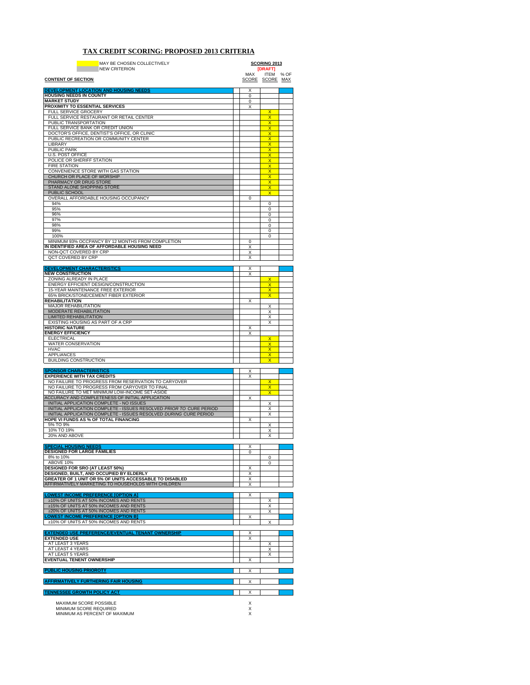#### **TAX CREDIT SCORING: PROPOSED 2013 CRITERIA**

| MAY BE CHOSEN COLLECTIVELY<br><b>NEW CRITERION</b>                                                                |        | <b>SCORING 2013</b><br>[DRAFT]                     |      |  |
|-------------------------------------------------------------------------------------------------------------------|--------|----------------------------------------------------|------|--|
|                                                                                                                   | MAX    | <b>ITEM</b>                                        | % OF |  |
| <b>CONTENT OF SECTION</b>                                                                                         |        | SCORE SCORE MAX                                    |      |  |
| DEVELOPMENT LOCATION AND HOUSING NEEDS                                                                            | Х      |                                                    |      |  |
| <b>HOUSING NEEDS IN COUNTY</b><br><b>MARKET STUDY</b>                                                             | 0      |                                                    |      |  |
| PROXIMITY TO ESSENTIAL SERVICES                                                                                   | 0<br>X |                                                    |      |  |
| <b>FULL SERVICE GROCERY</b>                                                                                       |        | $\overline{\mathsf{x}}$                            |      |  |
| FULL SERVICE RESTAURANT OR RETAIL CENTER<br>PUBLIC TRANSPORTATION                                                 |        | X<br>$\overline{\mathsf{x}}$                       |      |  |
| FULL SERVICE BANK OR CREDIT UNION                                                                                 |        | $\overline{\mathsf{x}}$                            |      |  |
| DOCTOR'S OFFICE, DENTIST'S OFFICE, OR CLINIC                                                                      |        | X                                                  |      |  |
| PUBLIC RECREATION OR COMMUNITY CENTER                                                                             |        | X<br>X                                             |      |  |
| LIBRARY<br><b>PUBLIC PARK</b>                                                                                     |        | x                                                  |      |  |
| <b>U.S. POST OFFICE</b>                                                                                           |        | x                                                  |      |  |
| POLICE OR SHERIFF STATION<br><b>FIRE STATION</b>                                                                  |        | x                                                  |      |  |
| CONVENIENCE STORE WITH GAS STATION                                                                                |        | $\overline{\mathsf{x}}$<br>$\overline{\mathsf{x}}$ |      |  |
| CHURCH OR PLACE OF WORSHIP                                                                                        |        | $\overline{\mathsf{x}}$                            |      |  |
| PHARMACY OR DRUG STORE                                                                                            |        | $\overline{\mathsf{x}}$<br>$\overline{\mathsf{x}}$ |      |  |
| STAND ALONE SHOPPING STORE<br>PUBLIC SCHOOL                                                                       |        | $\overline{\mathsf{x}}$                            |      |  |
| OVERALL AFFORDABLE HOUSING OCCUPANCY                                                                              | 0      |                                                    |      |  |
| 94%                                                                                                               |        | 0                                                  |      |  |
| 95%<br>96%                                                                                                        |        | 0<br>0                                             |      |  |
| 97%                                                                                                               |        | 0                                                  |      |  |
| 98%                                                                                                               |        | 0                                                  |      |  |
| 99%<br>100%                                                                                                       |        | 0<br>$\Omega$                                      |      |  |
| MINIMUM 93% OCCPANCY BY 12 MONTHS FROM COMPLETION                                                                 | 0      |                                                    |      |  |
| IN IDENTIFIED AREA OF AFFORDABLE HOUSING NEED                                                                     | Χ      |                                                    |      |  |
| NON-QCT COVERED BY CRP                                                                                            | Х      |                                                    |      |  |
| QCT COVERED BY CRP                                                                                                | Χ      |                                                    |      |  |
| <b>DEVELOPMENT CHARACTERISTICS</b>                                                                                | х      |                                                    |      |  |
| <b>NEW CONSTRUCTION</b>                                                                                           | X      |                                                    |      |  |
| ZONING ALREADY IN PLACE<br>ENERGY EFFICIENT DESIGN/CONSTRUCTION                                                   |        | X<br>x                                             |      |  |
| 15-YEAR MAINTENANCE FREE EXTERIOR                                                                                 |        | x                                                  |      |  |
| 65% BRICK/STONE/CEMENT FIBER EXTERIOR                                                                             |        | x                                                  |      |  |
| <b>REHABILITATION</b><br><b>MAJOR REHABILITATION</b>                                                              | X      | X                                                  |      |  |
| <b>MODERATE REHABILITATION</b>                                                                                    |        | Χ                                                  |      |  |
| <b>LIMITED REHABILITATION</b>                                                                                     |        | X                                                  |      |  |
| EXISTING HOUSING AS PART OF A CRP<br><b>HISTORIC NATURE</b>                                                       |        | X                                                  |      |  |
| <b>ENERGY EFFICIENCY</b>                                                                                          | х<br>X |                                                    |      |  |
| <b>ELECTRICAL</b>                                                                                                 |        | X                                                  |      |  |
| <b>WATER CONSERVATION</b>                                                                                         |        | X                                                  |      |  |
| <b>HVAC</b><br><b>APPLIANCES</b>                                                                                  |        | X<br>x                                             |      |  |
| <b>BUILDING CONSTRUCTION</b>                                                                                      |        | x                                                  |      |  |
|                                                                                                                   |        |                                                    |      |  |
| <u>SPONSOR CHARACTERISTICS</u><br><b>EXPERIENCE WITH TAX CREDITS</b>                                              | Χ<br>X |                                                    |      |  |
| NO FAILURE TO PROGRESS FROM RESERVATION TO CARYOVER                                                               |        | $\overline{\mathsf{x}}$                            |      |  |
| NO FAILURE TO PROGRESS FROM CARYOVER TO FINAL                                                                     |        | $\overline{\mathsf{x}}$                            |      |  |
| NO FAILURE TO MET MINIMUM LOW-INCOME SET-ASIDE<br>ACCURACY AND COMPLETENESS OF INITIAL APPLICATION                | Χ      | X                                                  |      |  |
| INITIAL APPLICATION COMPLETE - NO ISSUES                                                                          |        | Χ                                                  |      |  |
| INITIAL APPLICATION COMPLETE - ISSUES RESOLVED PRIOR TO CURE PERIOD                                               |        | X                                                  |      |  |
| INITIAL APPLICATION COMPLETE - ISSUES RESOLVED DURING CURE PERIOD<br><b>HOPE VI FUNDS AS % OF TOTAL FINANCING</b> | Х      | Χ                                                  |      |  |
| 5% TO 9%                                                                                                          |        | х                                                  |      |  |
| 10% TO 19%                                                                                                        |        | Х                                                  |      |  |
| 20% AND ABOVE                                                                                                     |        | х                                                  |      |  |
| <b>SPECIAL HOUSING NEEDS</b>                                                                                      | X      |                                                    |      |  |
| <b>DESIGNED FOR LARGE FAMILIES</b>                                                                                | 0      |                                                    |      |  |
| 8% to 10%                                                                                                         |        | 0                                                  |      |  |
| ABOVE 10%<br><b>DESIGNED FOR SRO (AT LEAST 50%)</b>                                                               | x      | $\Omega$                                           |      |  |
| DESIGNED, BUILT, AND OCCUPIED BY ELDERLY                                                                          | Х      |                                                    |      |  |
| GREATER OF 1 UNIT OR 5% OF UNITS ACCESSABLE TO DISABLED                                                           | X      |                                                    |      |  |
| AFFIRMATIVELY MARKETING TO HOUSEHOLDS WITH CHILDREN                                                               | Χ      |                                                    |      |  |
| <b>LOWEST INCOME PREFERENCE [OPTION A]</b>                                                                        | х      |                                                    |      |  |
| ≥10% OF UNITS AT 50% INCOMES AND RENTS                                                                            |        | Χ                                                  |      |  |
| ≥15% OF UNITS AT 50% INCOMES AND RENTS<br>≥20% OF UNITS AT 50% INCOMES AND RENTS                                  |        | Х<br>X                                             |      |  |
| <b>OWEST INCOME PREFERENCE [OPTION B]</b>                                                                         | X      |                                                    |      |  |
| ≥10% OF UNITS AT 50% INCOMES AND RENTS                                                                            |        | X                                                  |      |  |
| EXTENDED USE PREFERENCE/EVENTUAL TENANT OWNERSHIP                                                                 | х      |                                                    |      |  |
| <b>EXTENDED USE</b>                                                                                               | Х      |                                                    |      |  |
| AT LEAST 3 YEARS                                                                                                  |        | X                                                  |      |  |
| AT LEAST 4 YEARS<br>AT LEAST 5 YEARS                                                                              |        | X                                                  |      |  |
| <b>EVENTUAL TENENT OWNERSHIP</b>                                                                                  | X      | X                                                  |      |  |
|                                                                                                                   |        |                                                    |      |  |
| <b>PUBLIC HOUSING PRIOROTY</b>                                                                                    | X      |                                                    |      |  |
| <b>AFFIRMATIVELY FURTHERING FAIR HOUSING</b>                                                                      | X      |                                                    |      |  |
|                                                                                                                   |        |                                                    |      |  |
| <b>TENNESSEE GROWTH POLICY ACT</b>                                                                                | X      |                                                    |      |  |
| MAXIMUM SCORE POSSIBLE                                                                                            | х      |                                                    |      |  |
| MINIMUM SCORE REQUIRED                                                                                            | X      |                                                    |      |  |
| MINIMUM AS PERCENT OF MAXIMUM                                                                                     | x      |                                                    |      |  |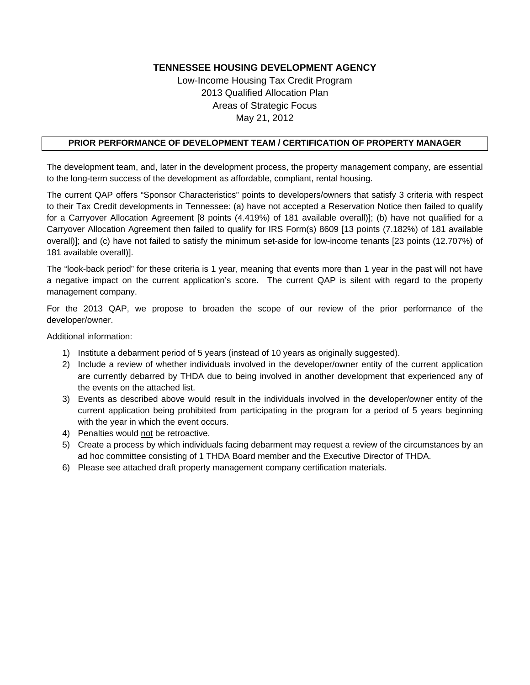Low-Income Housing Tax Credit Program 2013 Qualified Allocation Plan Areas of Strategic Focus May 21, 2012

### **PRIOR PERFORMANCE OF DEVELOPMENT TEAM / CERTIFICATION OF PROPERTY MANAGER**

The development team, and, later in the development process, the property management company, are essential to the long-term success of the development as affordable, compliant, rental housing.

The current QAP offers "Sponsor Characteristics" points to developers/owners that satisfy 3 criteria with respect to their Tax Credit developments in Tennessee: (a) have not accepted a Reservation Notice then failed to qualify for a Carryover Allocation Agreement [8 points (4.419%) of 181 available overall)]; (b) have not qualified for a Carryover Allocation Agreement then failed to qualify for IRS Form(s) 8609 [13 points (7.182%) of 181 available overall)]; and (c) have not failed to satisfy the minimum set-aside for low-income tenants [23 points (12.707%) of 181 available overall)].

The "look-back period" for these criteria is 1 year, meaning that events more than 1 year in the past will not have a negative impact on the current application's score. The current QAP is silent with regard to the property management company.

For the 2013 QAP, we propose to broaden the scope of our review of the prior performance of the developer/owner.

Additional information:

- 1) Institute a debarment period of 5 years (instead of 10 years as originally suggested).
- 2) Include a review of whether individuals involved in the developer/owner entity of the current application are currently debarred by THDA due to being involved in another development that experienced any of the events on the attached list.
- 3) Events as described above would result in the individuals involved in the developer/owner entity of the current application being prohibited from participating in the program for a period of 5 years beginning with the year in which the event occurs.
- 4) Penalties would not be retroactive.
- 5) Create a process by which individuals facing debarment may request a review of the circumstances by an ad hoc committee consisting of 1 THDA Board member and the Executive Director of THDA.
- 6) Please see attached draft property management company certification materials.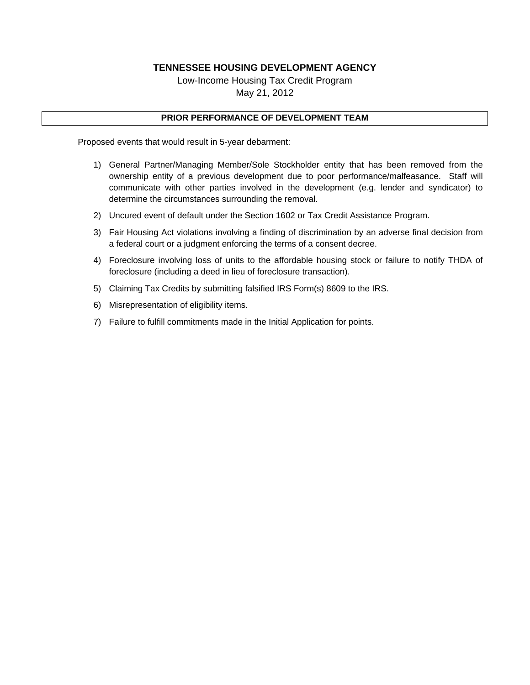Low-Income Housing Tax Credit Program May 21, 2012

#### **PRIOR PERFORMANCE OF DEVELOPMENT TEAM**

Proposed events that would result in 5-year debarment:

- 1) General Partner/Managing Member/Sole Stockholder entity that has been removed from the ownership entity of a previous development due to poor performance/malfeasance. Staff will communicate with other parties involved in the development (e.g. lender and syndicator) to determine the circumstances surrounding the removal.
- 2) Uncured event of default under the Section 1602 or Tax Credit Assistance Program.
- 3) Fair Housing Act violations involving a finding of discrimination by an adverse final decision from a federal court or a judgment enforcing the terms of a consent decree.
- 4) Foreclosure involving loss of units to the affordable housing stock or failure to notify THDA of foreclosure (including a deed in lieu of foreclosure transaction).
- 5) Claiming Tax Credits by submitting falsified IRS Form(s) 8609 to the IRS.
- 6) Misrepresentation of eligibility items.
- 7) Failure to fulfill commitments made in the Initial Application for points.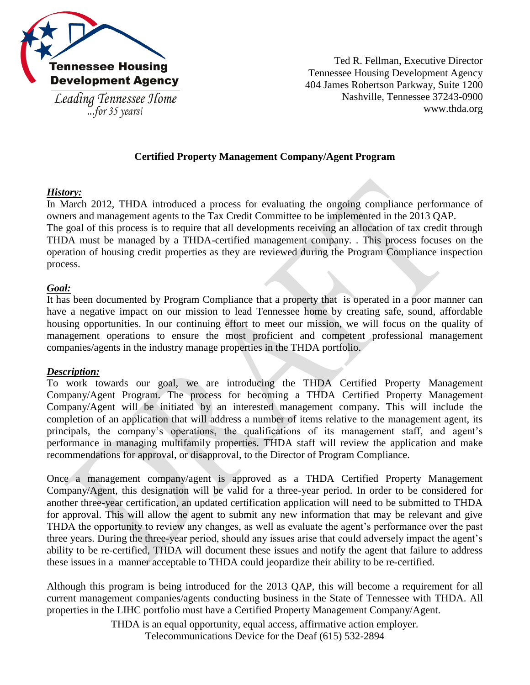

Leading Tennessee Home ...for  $35$  years!

Ted R. Fellman, Executive Director Tennessee Housing Development Agency 404 James Robertson Parkway, Suite 1200 Nashville, Tennessee 37243-0900 www.thda.org

## **Certified Property Management Company/Agent Program**

## *History:*

In March 2012, THDA introduced a process for evaluating the ongoing compliance performance of owners and management agents to the Tax Credit Committee to be implemented in the 2013 QAP. The goal of this process is to require that all developments receiving an allocation of tax credit through THDA must be managed by a THDA-certified management company. . This process focuses on the operation of housing credit properties as they are reviewed during the Program Compliance inspection process.

### *Goal:*

It has been documented by Program Compliance that a property that is operated in a poor manner can have a negative impact on our mission to lead Tennessee home by creating safe, sound, affordable housing opportunities. In our continuing effort to meet our mission, we will focus on the quality of management operations to ensure the most proficient and competent professional management companies/agents in the industry manage properties in the THDA portfolio.

### *Description:*

To work towards our goal, we are introducing the THDA Certified Property Management Company/Agent Program. The process for becoming a THDA Certified Property Management Company/Agent will be initiated by an interested management company. This will include the completion of an application that will address a number of items relative to the management agent, its principals, the company's operations, the qualifications of its management staff, and agent's performance in managing multifamily properties. THDA staff will review the application and make recommendations for approval, or disapproval, to the Director of Program Compliance.

Once a management company/agent is approved as a THDA Certified Property Management Company/Agent, this designation will be valid for a three-year period. In order to be considered for another three-year certification, an updated certification application will need to be submitted to THDA for approval. This will allow the agent to submit any new information that may be relevant and give THDA the opportunity to review any changes, as well as evaluate the agent's performance over the past three years. During the three-year period, should any issues arise that could adversely impact the agent's ability to be re-certified, THDA will document these issues and notify the agent that failure to address these issues in a manner acceptable to THDA could jeopardize their ability to be re-certified.

Although this program is being introduced for the 2013 QAP, this will become a requirement for all current management companies/agents conducting business in the State of Tennessee with THDA. All properties in the LIHC portfolio must have a Certified Property Management Company/Agent.

THDA is an equal opportunity, equal access, affirmative action employer.

Telecommunications Device for the Deaf (615) 532-2894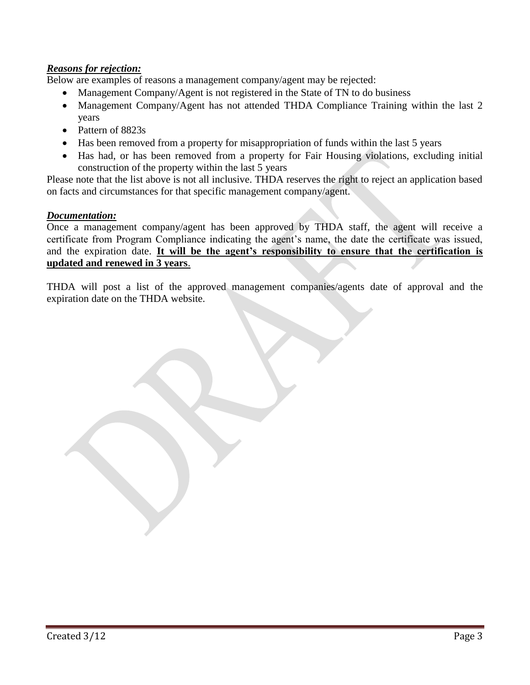## *Reasons for rejection:*

Below are examples of reasons a management company/agent may be rejected:

- Management Company/Agent is not registered in the State of TN to do business
- Management Company/Agent has not attended THDA Compliance Training within the last 2 years
- Pattern of 8823s
- Has been removed from a property for misappropriation of funds within the last 5 years
- Has had, or has been removed from a property for Fair Housing violations, excluding initial construction of the property within the last 5 years

Please note that the list above is not all inclusive. THDA reserves the right to reject an application based on facts and circumstances for that specific management company/agent.

### *Documentation:*

Once a management company/agent has been approved by THDA staff, the agent will receive a certificate from Program Compliance indicating the agent's name, the date the certificate was issued, and the expiration date. **It will be the agent's responsibility to ensure that the certification is updated and renewed in 3 years**.

THDA will post a list of the approved management companies/agents date of approval and the expiration date on the THDA website.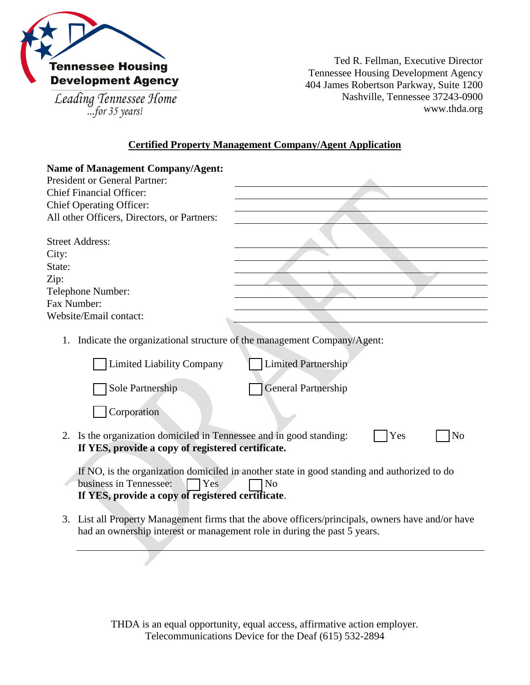

Leading Tennessee Home<br>...for 35 years!

Ted R. Fellman, Executive Director Tennessee Housing Development Agency 404 James Robertson Parkway, Suite 1200 Nashville, Tennessee 37243-0900 www.thda.org

### **Certified Property Management Company/Agent Application**

| <b>Name of Management Company/Agent:</b>                                                                                                                                                            |                            |  |  |  |  |  |
|-----------------------------------------------------------------------------------------------------------------------------------------------------------------------------------------------------|----------------------------|--|--|--|--|--|
| <b>President or General Partner:</b>                                                                                                                                                                |                            |  |  |  |  |  |
| <b>Chief Financial Officer:</b>                                                                                                                                                                     |                            |  |  |  |  |  |
| <b>Chief Operating Officer:</b>                                                                                                                                                                     |                            |  |  |  |  |  |
| All other Officers, Directors, or Partners:                                                                                                                                                         |                            |  |  |  |  |  |
|                                                                                                                                                                                                     |                            |  |  |  |  |  |
| <b>Street Address:</b>                                                                                                                                                                              |                            |  |  |  |  |  |
| City:                                                                                                                                                                                               |                            |  |  |  |  |  |
| State:                                                                                                                                                                                              |                            |  |  |  |  |  |
| Zip:                                                                                                                                                                                                |                            |  |  |  |  |  |
| Telephone Number:                                                                                                                                                                                   |                            |  |  |  |  |  |
| Fax Number:                                                                                                                                                                                         |                            |  |  |  |  |  |
| Website/Email contact:                                                                                                                                                                              |                            |  |  |  |  |  |
| Indicate the organizational structure of the management Company/Agent:<br>1.                                                                                                                        |                            |  |  |  |  |  |
| <b>Limited Liability Company</b>                                                                                                                                                                    | <b>Limited Partnership</b> |  |  |  |  |  |
| Sole Partnership                                                                                                                                                                                    | <b>General Partnership</b> |  |  |  |  |  |
| Corporation                                                                                                                                                                                         |                            |  |  |  |  |  |
| Is the organization domiciled in Tennessee and in good standing:<br>2.<br>Yes<br>N <sub>o</sub><br>If YES, provide a copy of registered certificate.                                                |                            |  |  |  |  |  |
| If NO, is the organization domiciled in another state in good standing and authorized to do<br>business in Tennessee:<br>Yes<br>N <sub>0</sub><br>If YES, provide a copy of registered certificate. |                            |  |  |  |  |  |
| 3. List all Property Management firms that the above officers/principals, owners have and/or have<br>had an ownership interest or management role in during the past 5 years.                       |                            |  |  |  |  |  |

THDA is an equal opportunity, equal access, affirmative action employer. Telecommunications Device for the Deaf (615) 532-2894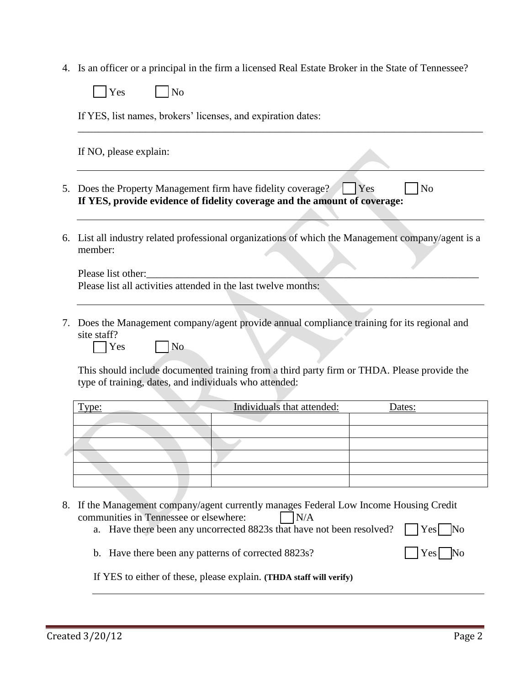4. Is an officer or a principal in the firm a licensed Real Estate Broker in the State of Tennessee?

|    | Yes<br>No                                                                                                                                                                                                                     |  |  |  |  |  |  |  |
|----|-------------------------------------------------------------------------------------------------------------------------------------------------------------------------------------------------------------------------------|--|--|--|--|--|--|--|
|    | If YES, list names, brokers' licenses, and expiration dates:                                                                                                                                                                  |  |  |  |  |  |  |  |
|    | If NO, please explain:                                                                                                                                                                                                        |  |  |  |  |  |  |  |
| 5. | Does the Property Management firm have fidelity coverage?<br>$\vert$ Yes<br>N <sub>o</sub><br>If YES, provide evidence of fidelity coverage and the amount of coverage:                                                       |  |  |  |  |  |  |  |
| 6. | List all industry related professional organizations of which the Management company/agent is a<br>member:                                                                                                                    |  |  |  |  |  |  |  |
|    | Please list other:<br>Please list all activities attended in the last twelve months:                                                                                                                                          |  |  |  |  |  |  |  |
| 7. | Does the Management company/agent provide annual compliance training for its regional and<br>site staff?<br>N <sub>o</sub><br>Yes                                                                                             |  |  |  |  |  |  |  |
|    | This should include documented training from a third party firm or THDA. Please provide the<br>type of training, dates, and individuals who attended:                                                                         |  |  |  |  |  |  |  |
|    | Individuals that attended:<br><u>Type:</u><br>Dates:                                                                                                                                                                          |  |  |  |  |  |  |  |
|    |                                                                                                                                                                                                                               |  |  |  |  |  |  |  |
|    |                                                                                                                                                                                                                               |  |  |  |  |  |  |  |
|    |                                                                                                                                                                                                                               |  |  |  |  |  |  |  |
|    |                                                                                                                                                                                                                               |  |  |  |  |  |  |  |
| 8. | If the Management company/agent currently manages Federal Low Income Housing Credit<br>communities in Tennessee or elsewhere:<br>N/A<br>Have there been any uncorrected 8823s that have not been resolved?<br>Yes<br>No<br>a. |  |  |  |  |  |  |  |

- 
- b. Have there been any patterns of corrected  $8823s$ ? Yes No

If YES to either of these, please explain. **(THDA staff will verify)**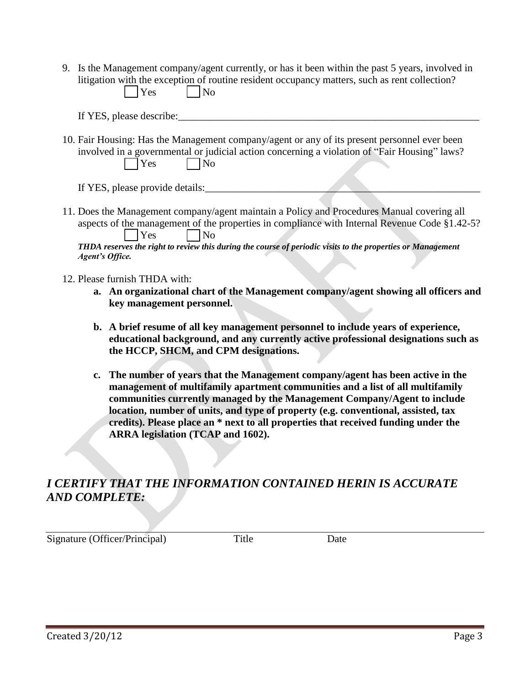- 9. Is the Management company/agent currently, or has it been within the past 5 years, involved in litigation with the exception of routine resident occupancy matters, such as rent collection?  $Yes \tNo$ 
	- If YES, please describe:
- 10. Fair Housing: Has the Management company/agent or any of its present personnel ever been involved in a governmental or judicial action concerning a violation of "Fair Housing" laws?  $\big|$  Yes  $\big|$  No

If YES, please provide details:

- 11. Does the Management company/agent maintain a Policy and Procedures Manual covering all aspects of the management of the properties in compliance with Internal Revenue Code §1.42-5? Yes No *THDA reserves the right to review this during the course of periodic visits to the properties or Management Agent's Office.*
- 12. Please furnish THDA with:
	- **a. An organizational chart of the Management company/agent showing all officers and key management personnel.**
	- **b. A brief resume of all key management personnel to include years of experience, educational background, and any currently active professional designations such as the HCCP, SHCM, and CPM designations.**
	- **c. The number of years that the Management company/agent has been active in the management of multifamily apartment communities and a list of all multifamily communities currently managed by the Management Company/Agent to include location, number of units, and type of property (e.g. conventional, assisted, tax credits). Please place an \* next to all properties that received funding under the ARRA legislation (TCAP and 1602).**

# *I CERTIFY THAT THE INFORMATION CONTAINED HERIN IS ACCURATE AND COMPLETE:*

Signature (Officer/Principal) Title Date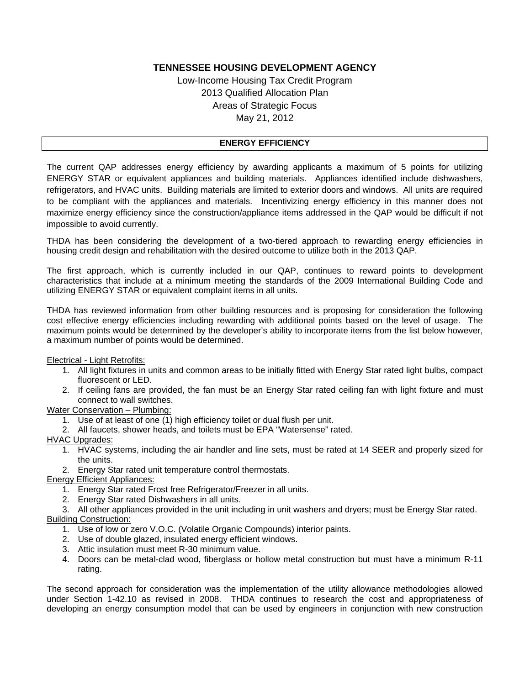Low-Income Housing Tax Credit Program 2013 Qualified Allocation Plan Areas of Strategic Focus May 21, 2012

#### **ENERGY EFFICIENCY**

The current QAP addresses energy efficiency by awarding applicants a maximum of 5 points for utilizing ENERGY STAR or equivalent appliances and building materials. Appliances identified include dishwashers, refrigerators, and HVAC units. Building materials are limited to exterior doors and windows. All units are required to be compliant with the appliances and materials. Incentivizing energy efficiency in this manner does not maximize energy efficiency since the construction/appliance items addressed in the QAP would be difficult if not impossible to avoid currently.

THDA has been considering the development of a two-tiered approach to rewarding energy efficiencies in housing credit design and rehabilitation with the desired outcome to utilize both in the 2013 QAP.

The first approach, which is currently included in our QAP, continues to reward points to development characteristics that include at a minimum meeting the standards of the 2009 International Building Code and utilizing ENERGY STAR or equivalent complaint items in all units.

THDA has reviewed information from other building resources and is proposing for consideration the following cost effective energy efficiencies including rewarding with additional points based on the level of usage. The maximum points would be determined by the developer's ability to incorporate items from the list below however, a maximum number of points would be determined.

Electrical - Light Retrofits:

- 1. All light fixtures in units and common areas to be initially fitted with Energy Star rated light bulbs, compact fluorescent or LED.
- 2. If ceiling fans are provided, the fan must be an Energy Star rated ceiling fan with light fixture and must connect to wall switches.

Water Conservation – Plumbing:

- 1. Use of at least of one (1) high efficiency toilet or dual flush per unit.
- 2. All faucets, shower heads, and toilets must be EPA "Watersense" rated.

HVAC Upgrades:

- 1. HVAC systems, including the air handler and line sets, must be rated at 14 SEER and properly sized for the units.
- 2. Energy Star rated unit temperature control thermostats.

Energy Efficient Appliances:

- 1. Energy Star rated Frost free Refrigerator/Freezer in all units.
- 2. Energy Star rated Dishwashers in all units.
- 3. All other appliances provided in the unit including in unit washers and dryers; must be Energy Star rated.

Building Construction:

- 1. Use of low or zero V.O.C. (Volatile Organic Compounds) interior paints.
- 2. Use of double glazed, insulated energy efficient windows.
- 3. Attic insulation must meet R-30 minimum value.
- 4. Doors can be metal-clad wood, fiberglass or hollow metal construction but must have a minimum R-11 rating.

The second approach for consideration was the implementation of the utility allowance methodologies allowed under Section 1-42.10 as revised in 2008. THDA continues to research the cost and appropriateness of developing an energy consumption model that can be used by engineers in conjunction with new construction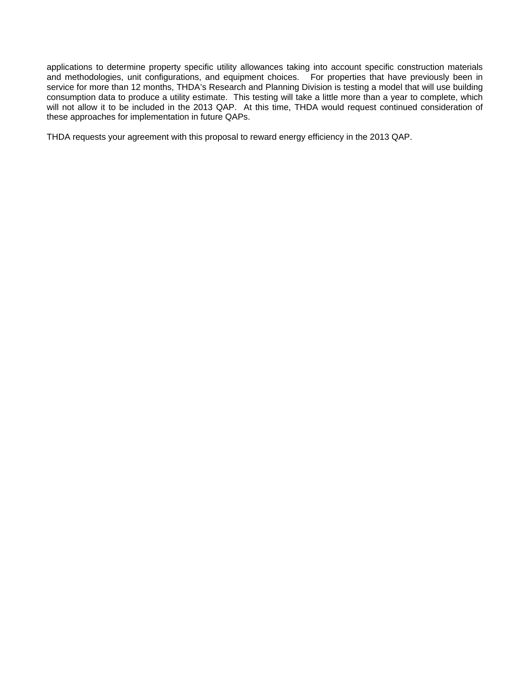applications to determine property specific utility allowances taking into account specific construction materials and methodologies, unit configurations, and equipment choices. For properties that have previously been in service for more than 12 months, THDA's Research and Planning Division is testing a model that will use building consumption data to produce a utility estimate. This testing will take a little more than a year to complete, which will not allow it to be included in the 2013 QAP. At this time, THDA would request continued consideration of these approaches for implementation in future QAPs.

THDA requests your agreement with this proposal to reward energy efficiency in the 2013 QAP.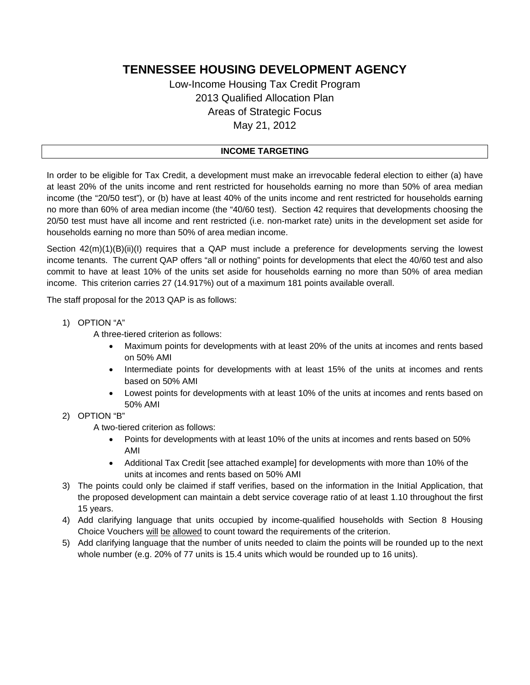## Low-Income Housing Tax Credit Program 2013 Qualified Allocation Plan Areas of Strategic Focus May 21, 2012

### **INCOME TARGETING**

In order to be eligible for Tax Credit, a development must make an irrevocable federal election to either (a) have at least 20% of the units income and rent restricted for households earning no more than 50% of area median income (the "20/50 test"), or (b) have at least 40% of the units income and rent restricted for households earning no more than 60% of area median income (the "40/60 test). Section 42 requires that developments choosing the 20/50 test must have all income and rent restricted (i.e. non-market rate) units in the development set aside for households earning no more than 50% of area median income.

Section 42(m)(1)(B)(ii)(I) requires that a QAP must include a preference for developments serving the lowest income tenants. The current QAP offers "all or nothing" points for developments that elect the 40/60 test and also commit to have at least 10% of the units set aside for households earning no more than 50% of area median income. This criterion carries 27 (14.917%) out of a maximum 181 points available overall.

The staff proposal for the 2013 QAP is as follows:

1) OPTION "A"

A three-tiered criterion as follows:

- Maximum points for developments with at least 20% of the units at incomes and rents based on 50% AMI
- Intermediate points for developments with at least 15% of the units at incomes and rents based on 50% AMI
- Lowest points for developments with at least 10% of the units at incomes and rents based on 50% AMI
- 2) OPTION "B"

A two-tiered criterion as follows:

- Points for developments with at least 10% of the units at incomes and rents based on 50% AMI
- Additional Tax Credit [see attached example] for developments with more than 10% of the units at incomes and rents based on 50% AMI
- 3) The points could only be claimed if staff verifies, based on the information in the Initial Application, that the proposed development can maintain a debt service coverage ratio of at least 1.10 throughout the first 15 years.
- 4) Add clarifying language that units occupied by income-qualified households with Section 8 Housing Choice Vouchers will be allowed to count toward the requirements of the criterion.
- 5) Add clarifying language that the number of units needed to claim the points will be rounded up to the next whole number (e.g. 20% of 77 units is 15.4 units which would be rounded up to 16 units).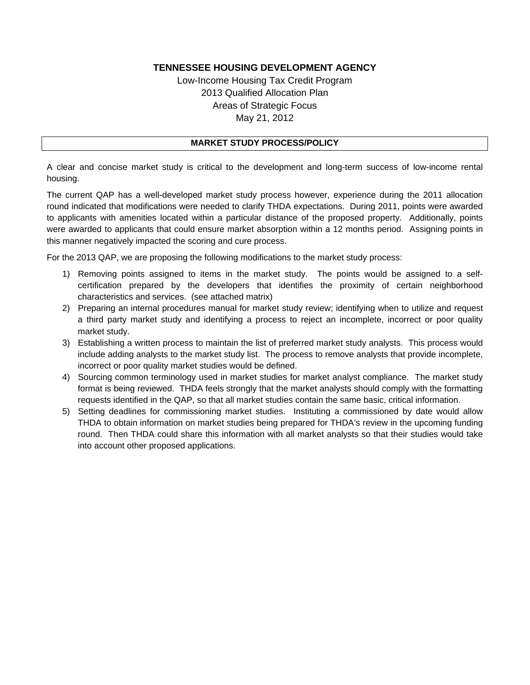Low-Income Housing Tax Credit Program 2013 Qualified Allocation Plan Areas of Strategic Focus May 21, 2012

### **MARKET STUDY PROCESS/POLICY**

A clear and concise market study is critical to the development and long-term success of low-income rental housing.

The current QAP has a well-developed market study process however, experience during the 2011 allocation round indicated that modifications were needed to clarify THDA expectations. During 2011, points were awarded to applicants with amenities located within a particular distance of the proposed property. Additionally, points were awarded to applicants that could ensure market absorption within a 12 months period. Assigning points in this manner negatively impacted the scoring and cure process.

For the 2013 QAP, we are proposing the following modifications to the market study process:

- 1) Removing points assigned to items in the market study. The points would be assigned to a selfcertification prepared by the developers that identifies the proximity of certain neighborhood characteristics and services. (see attached matrix)
- 2) Preparing an internal procedures manual for market study review; identifying when to utilize and request a third party market study and identifying a process to reject an incomplete, incorrect or poor quality market study.
- 3) Establishing a written process to maintain the list of preferred market study analysts. This process would include adding analysts to the market study list. The process to remove analysts that provide incomplete, incorrect or poor quality market studies would be defined.
- 4) Sourcing common terminology used in market studies for market analyst compliance. The market study format is being reviewed. THDA feels strongly that the market analysts should comply with the formatting requests identified in the QAP, so that all market studies contain the same basic, critical information.
- 5) Setting deadlines for commissioning market studies. Instituting a commissioned by date would allow THDA to obtain information on market studies being prepared for THDA's review in the upcoming funding round. Then THDA could share this information with all market analysts so that their studies would take into account other proposed applications.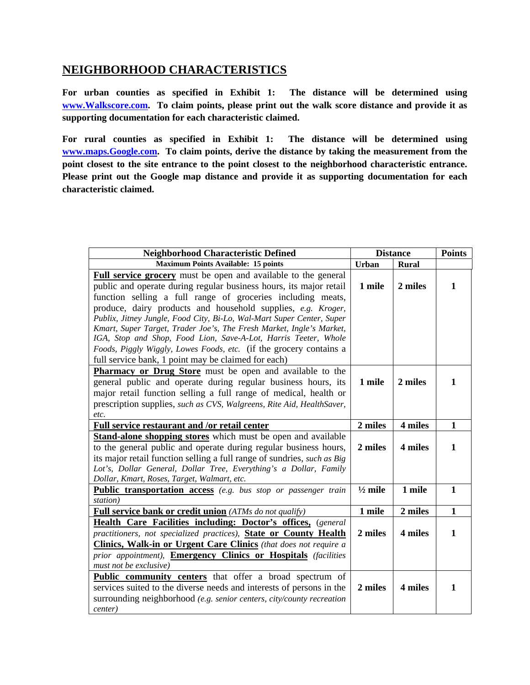## **NEIGHBORHOOD CHARACTERISTICS**

**For urban counties as specified in Exhibit 1: The distance will be determined using www.Walkscore.com. To claim points, please print out the walk score distance and provide it as supporting documentation for each characteristic claimed.** 

**For rural counties as specified in Exhibit 1: The distance will be determined using www.maps.Google.com. To claim points, derive the distance by taking the measurement from the point closest to the site entrance to the point closest to the neighborhood characteristic entrance. Please print out the Google map distance and provide it as supporting documentation for each characteristic claimed.** 

| <b>Neighborhood Characteristic Defined</b>                                                                                                                                                                                                                                                                                                                                                                                                                                                                                                                                                                                  | <b>Distance</b>    | <b>Points</b> |              |
|-----------------------------------------------------------------------------------------------------------------------------------------------------------------------------------------------------------------------------------------------------------------------------------------------------------------------------------------------------------------------------------------------------------------------------------------------------------------------------------------------------------------------------------------------------------------------------------------------------------------------------|--------------------|---------------|--------------|
| <b>Maximum Points Available: 15 points</b>                                                                                                                                                                                                                                                                                                                                                                                                                                                                                                                                                                                  | <b>Urban</b>       | <b>Rural</b>  |              |
| <b>Full service grocery</b> must be open and available to the general<br>public and operate during regular business hours, its major retail<br>function selling a full range of groceries including meats,<br>produce, dairy products and household supplies, e.g. Kroger,<br>Publix, Jitney Jungle, Food City, Bi-Lo, Wal-Mart Super Center, Super<br>Kmart, Super Target, Trader Joe's, The Fresh Market, Ingle's Market,<br>IGA, Stop and Shop, Food Lion, Save-A-Lot, Harris Teeter, Whole<br>Foods, Piggly Wiggly, Lowes Foods, etc. (if the grocery contains a<br>full service bank, 1 point may be claimed for each) | 1 mile             | 2 miles       | 1            |
| <b>Pharmacy or Drug Store</b> must be open and available to the<br>general public and operate during regular business hours, its<br>major retail function selling a full range of medical, health or<br>prescription supplies, such as CVS, Walgreens, Rite Aid, HealthSaver,<br>etc.                                                                                                                                                                                                                                                                                                                                       | 1 mile             | 2 miles       | 1            |
| Full service restaurant and /or retail center                                                                                                                                                                                                                                                                                                                                                                                                                                                                                                                                                                               | 2 miles            | 4 miles       | $\mathbf{1}$ |
| <b>Stand-alone shopping stores</b> which must be open and available<br>to the general public and operate during regular business hours,<br>its major retail function selling a full range of sundries, <i>such as Big</i><br>Lot's, Dollar General, Dollar Tree, Everything's a Dollar, Family<br>Dollar, Kmart, Roses, Target, Walmart, etc.                                                                                                                                                                                                                                                                               | 2 miles            | 4 miles       | 1            |
| Public transportation access (e.g. bus stop or passenger train<br>station)                                                                                                                                                                                                                                                                                                                                                                                                                                                                                                                                                  | $\frac{1}{2}$ mile | 1 mile        | $\mathbf{1}$ |
| <b>Full service bank or credit union</b> (ATMs do not qualify)                                                                                                                                                                                                                                                                                                                                                                                                                                                                                                                                                              | 1 mile             | 2 miles       | $\mathbf{1}$ |
| <b>Health Care Facilities including: Doctor's offices, (general</b><br>practitioners, not specialized practices), State or County Health<br><b>Clinics, Walk-in or Urgent Care Clinics</b> (that does not require a<br>prior appointment), <b>Emergency Clinics or Hospitals</b> (facilities<br>must not be exclusive)                                                                                                                                                                                                                                                                                                      | 2 miles            | 4 miles       | 1            |
| <b>Public community centers</b> that offer a broad spectrum of<br>services suited to the diverse needs and interests of persons in the<br>surrounding neighborhood (e.g. senior centers, city/county recreation<br>center)                                                                                                                                                                                                                                                                                                                                                                                                  | 2 miles            | 4 miles       | 1            |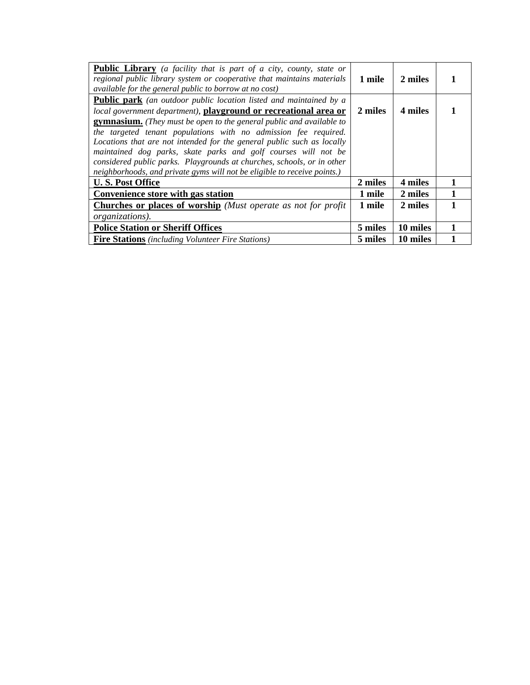| <b>Public Library</b> (a facility that is part of a city, county, state or<br>regional public library system or cooperative that maintains materials<br>available for the general public to borrow at no cost)                                                                                                                                                                                                                                                                                                                                                                                    | 1 mile  | 2 miles  |  |
|---------------------------------------------------------------------------------------------------------------------------------------------------------------------------------------------------------------------------------------------------------------------------------------------------------------------------------------------------------------------------------------------------------------------------------------------------------------------------------------------------------------------------------------------------------------------------------------------------|---------|----------|--|
| <b>Public park</b> (an outdoor public location listed and maintained by a<br>local government department), playground or recreational area or<br><b>gymnasium.</b> (They must be open to the general public and available to<br>the targeted tenant populations with no admission fee required.<br>Locations that are not intended for the general public such as locally<br>maintained dog parks, skate parks and golf courses will not be<br>considered public parks. Playgrounds at churches, schools, or in other<br>neighborhoods, and private gyms will not be eligible to receive points.) | 2 miles | 4 miles  |  |
| <b>U.S. Post Office</b>                                                                                                                                                                                                                                                                                                                                                                                                                                                                                                                                                                           | 2 miles | 4 miles  |  |
| Convenience store with gas station                                                                                                                                                                                                                                                                                                                                                                                                                                                                                                                                                                | 1 mile  | 2 miles  |  |
| <b>Churches or places of worship</b> (Must operate as not for profit)                                                                                                                                                                                                                                                                                                                                                                                                                                                                                                                             | 1 mile  | 2 miles  |  |
| <i>organizations</i> ).                                                                                                                                                                                                                                                                                                                                                                                                                                                                                                                                                                           |         |          |  |
| <b>Police Station or Sheriff Offices</b>                                                                                                                                                                                                                                                                                                                                                                                                                                                                                                                                                          | 5 miles | 10 miles |  |
| <b>Fire Stations</b> (including Volunteer Fire Stations)                                                                                                                                                                                                                                                                                                                                                                                                                                                                                                                                          | 5 miles | 10 miles |  |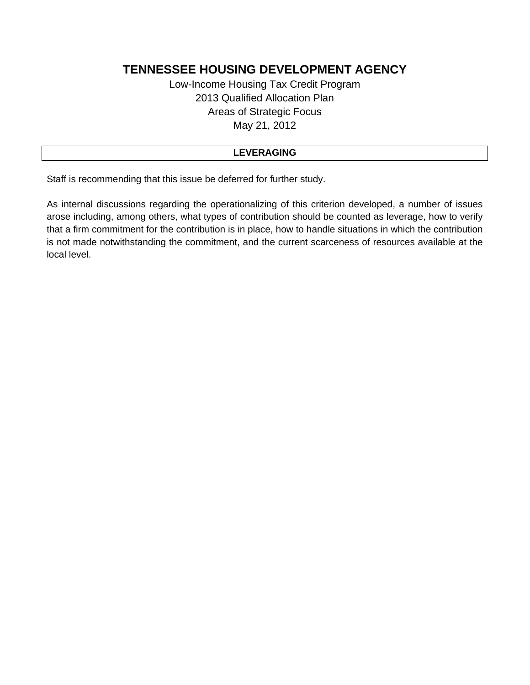Low-Income Housing Tax Credit Program 2013 Qualified Allocation Plan Areas of Strategic Focus May 21, 2012

### **LEVERAGING**

Staff is recommending that this issue be deferred for further study.

As internal discussions regarding the operationalizing of this criterion developed, a number of issues arose including, among others, what types of contribution should be counted as leverage, how to verify that a firm commitment for the contribution is in place, how to handle situations in which the contribution is not made notwithstanding the commitment, and the current scarceness of resources available at the local level.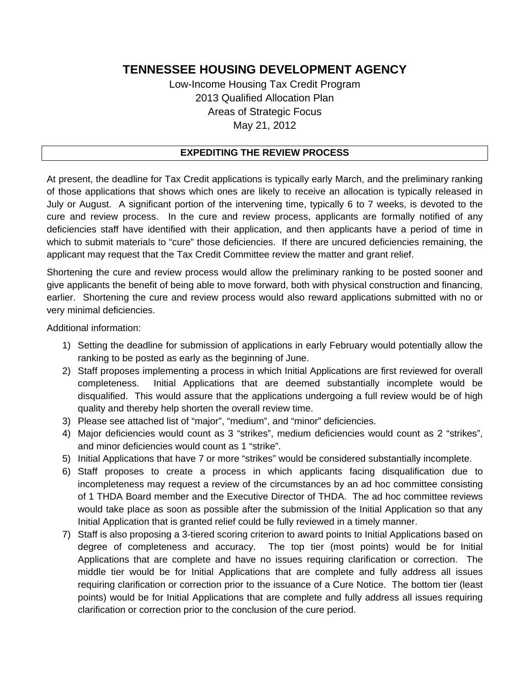Low-Income Housing Tax Credit Program 2013 Qualified Allocation Plan Areas of Strategic Focus May 21, 2012

### **EXPEDITING THE REVIEW PROCESS**

At present, the deadline for Tax Credit applications is typically early March, and the preliminary ranking of those applications that shows which ones are likely to receive an allocation is typically released in July or August. A significant portion of the intervening time, typically 6 to 7 weeks, is devoted to the cure and review process. In the cure and review process, applicants are formally notified of any deficiencies staff have identified with their application, and then applicants have a period of time in which to submit materials to "cure" those deficiencies. If there are uncured deficiencies remaining, the applicant may request that the Tax Credit Committee review the matter and grant relief.

Shortening the cure and review process would allow the preliminary ranking to be posted sooner and give applicants the benefit of being able to move forward, both with physical construction and financing, earlier. Shortening the cure and review process would also reward applications submitted with no or very minimal deficiencies.

Additional information:

- 1) Setting the deadline for submission of applications in early February would potentially allow the ranking to be posted as early as the beginning of June.
- 2) Staff proposes implementing a process in which Initial Applications are first reviewed for overall completeness. Initial Applications that are deemed substantially incomplete would be disqualified. This would assure that the applications undergoing a full review would be of high quality and thereby help shorten the overall review time.
- 3) Please see attached list of "major", "medium", and "minor" deficiencies.
- 4) Major deficiencies would count as 3 "strikes", medium deficiencies would count as 2 "strikes", and minor deficiencies would count as 1 "strike".
- 5) Initial Applications that have 7 or more "strikes" would be considered substantially incomplete.
- 6) Staff proposes to create a process in which applicants facing disqualification due to incompleteness may request a review of the circumstances by an ad hoc committee consisting of 1 THDA Board member and the Executive Director of THDA. The ad hoc committee reviews would take place as soon as possible after the submission of the Initial Application so that any Initial Application that is granted relief could be fully reviewed in a timely manner.
- 7) Staff is also proposing a 3-tiered scoring criterion to award points to Initial Applications based on degree of completeness and accuracy. The top tier (most points) would be for Initial Applications that are complete and have no issues requiring clarification or correction. The middle tier would be for Initial Applications that are complete and fully address all issues requiring clarification or correction prior to the issuance of a Cure Notice. The bottom tier (least points) would be for Initial Applications that are complete and fully address all issues requiring clarification or correction prior to the conclusion of the cure period.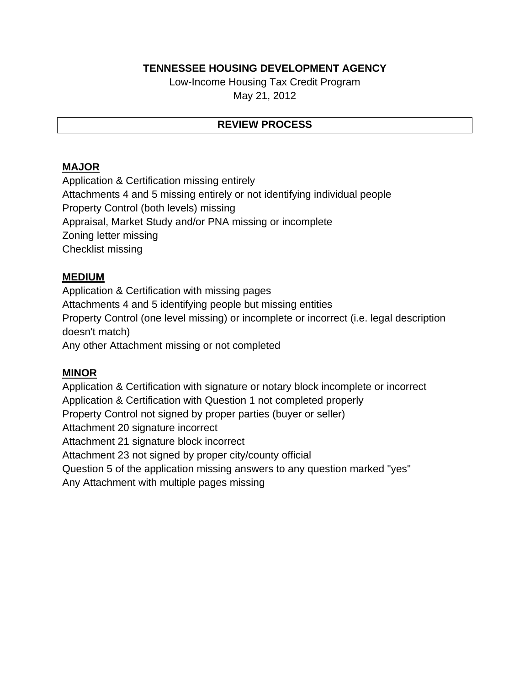Low-Income Housing Tax Credit Program May 21, 2012

## **REVIEW PROCESS**

## **MAJOR**

Application & Certification missing entirely Attachments 4 and 5 missing entirely or not identifying individual people Property Control (both levels) missing Appraisal, Market Study and/or PNA missing or incomplete Zoning letter missing Checklist missing

## **MEDIUM**

Application & Certification with missing pages Attachments 4 and 5 identifying people but missing entities Property Control (one level missing) or incomplete or incorrect (i.e. legal description doesn't match) Any other Attachment missing or not completed

## **MINOR**

Application & Certification with signature or notary block incomplete or incorrect Application & Certification with Question 1 not completed properly Property Control not signed by proper parties (buyer or seller) Attachment 20 signature incorrect Attachment 21 signature block incorrect Attachment 23 not signed by proper city/county official Question 5 of the application missing answers to any question marked "yes" Any Attachment with multiple pages missing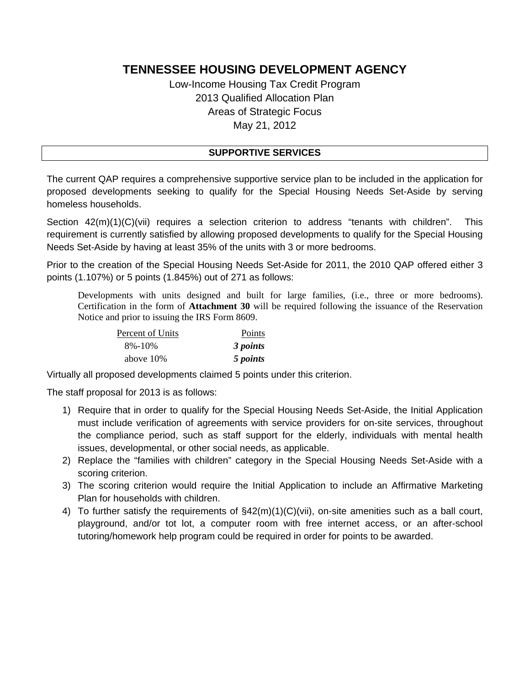Low-Income Housing Tax Credit Program 2013 Qualified Allocation Plan Areas of Strategic Focus May 21, 2012

### **SUPPORTIVE SERVICES**

The current QAP requires a comprehensive supportive service plan to be included in the application for proposed developments seeking to qualify for the Special Housing Needs Set-Aside by serving homeless households.

Section 42(m)(1)(C)(vii) requires a selection criterion to address "tenants with children". This requirement is currently satisfied by allowing proposed developments to qualify for the Special Housing Needs Set-Aside by having at least 35% of the units with 3 or more bedrooms.

Prior to the creation of the Special Housing Needs Set-Aside for 2011, the 2010 QAP offered either 3 points (1.107%) or 5 points (1.845%) out of 271 as follows:

Developments with units designed and built for large families, (i.e., three or more bedrooms). Certification in the form of **Attachment 30** will be required following the issuance of the Reservation Notice and prior to issuing the IRS Form 8609.

| Percent of Units | Points   |
|------------------|----------|
| $8\% - 10\%$     | 3 points |
| above 10\%       | 5 points |

Virtually all proposed developments claimed 5 points under this criterion.

The staff proposal for 2013 is as follows:

- 1) Require that in order to qualify for the Special Housing Needs Set-Aside, the Initial Application must include verification of agreements with service providers for on-site services, throughout the compliance period, such as staff support for the elderly, individuals with mental health issues, developmental, or other social needs, as applicable.
- 2) Replace the "families with children" category in the Special Housing Needs Set-Aside with a scoring criterion.
- 3) The scoring criterion would require the Initial Application to include an Affirmative Marketing Plan for households with children.
- 4) To further satisfy the requirements of §42(m)(1)(C)(vii), on-site amenities such as a ball court, playground, and/or tot lot, a computer room with free internet access, or an after-school tutoring/homework help program could be required in order for points to be awarded.